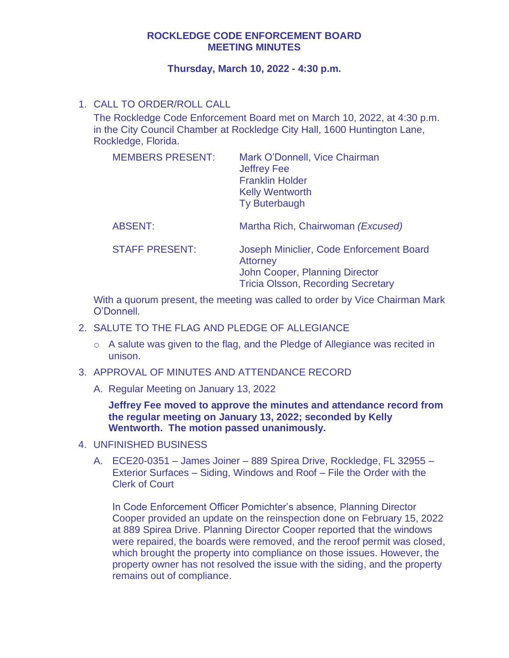#### **ROCKLEDGE CODE ENFORCEMENT BOARD MEETING MINUTES**

#### **Thursday, March 10, 2022 - 4:30 p.m.**

## 1. CALL TO ORDER/ROLL CALL

The Rockledge Code Enforcement Board met on March 10, 2022, at 4:30 p.m. in the City Council Chamber at Rockledge City Hall, 1600 Huntington Lane, Rockledge, Florida.

| <b>MEMBERS PRESENT:</b> | Mark O'Donnell, Vice Chairman<br><b>Jeffrey Fee</b><br><b>Franklin Holder</b><br><b>Kelly Wentworth</b><br><b>Ty Buterbaugh</b> |
|-------------------------|---------------------------------------------------------------------------------------------------------------------------------|
| <b>ABSENT:</b>          | Martha Rich, Chairwoman (Excused)                                                                                               |
| <b>STAFF PRESENT:</b>   | Joseph Miniclier, Code Enforcement Board<br><b>Attorney</b><br>John Cooper, Planning Director                                   |

Tricia Olsson, Recording Secretary

With a quorum present, the meeting was called to order by Vice Chairman Mark O'Donnell.

- 2. SALUTE TO THE FLAG AND PLEDGE OF ALLEGIANCE
	- o A salute was given to the flag, and the Pledge of Allegiance was recited in unison.
- 3. APPROVAL OF MINUTES AND ATTENDANCE RECORD
	- A. Regular Meeting on January 13, 2022

**Jeffrey Fee moved to approve the minutes and attendance record from the regular meeting on January 13, 2022; seconded by Kelly Wentworth. The motion passed unanimously.** 

- 4. UNFINISHED BUSINESS
	- A. ECE20-0351 James Joiner 889 Spirea Drive, Rockledge, FL 32955 Exterior Surfaces – Siding, Windows and Roof – File the Order with the Clerk of Court

In Code Enforcement Officer Pomichter's absence, Planning Director Cooper provided an update on the reinspection done on February 15, 2022 at 889 Spirea Drive. Planning Director Cooper reported that the windows were repaired, the boards were removed, and the reroof permit was closed, which brought the property into compliance on those issues. However, the property owner has not resolved the issue with the siding, and the property remains out of compliance.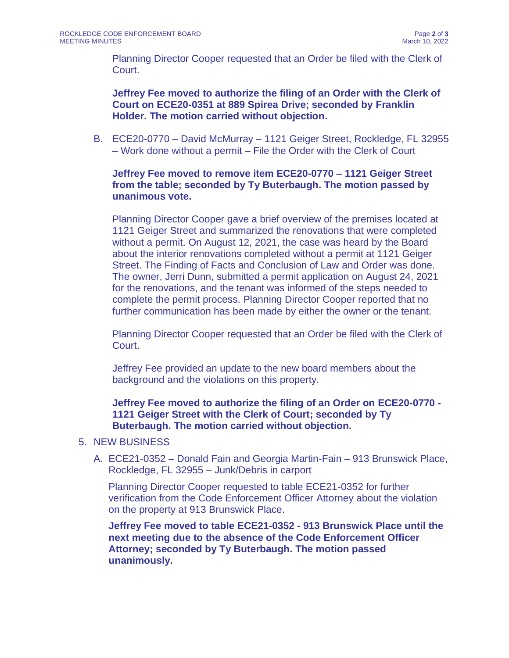Planning Director Cooper requested that an Order be filed with the Clerk of Court.

**Jeffrey Fee moved to authorize the filing of an Order with the Clerk of Court on ECE20-0351 at 889 Spirea Drive; seconded by Franklin Holder. The motion carried without objection.** 

B. ECE20-0770 – David McMurray – 1121 Geiger Street, Rockledge, FL 32955 – Work done without a permit – File the Order with the Clerk of Court

### **Jeffrey Fee moved to remove item ECE20-0770 – 1121 Geiger Street from the table; seconded by Ty Buterbaugh. The motion passed by unanimous vote.**

Planning Director Cooper gave a brief overview of the premises located at 1121 Geiger Street and summarized the renovations that were completed without a permit. On August 12, 2021, the case was heard by the Board about the interior renovations completed without a permit at 1121 Geiger Street. The Finding of Facts and Conclusion of Law and Order was done. The owner, Jerri Dunn, submitted a permit application on August 24, 2021 for the renovations, and the tenant was informed of the steps needed to complete the permit process. Planning Director Cooper reported that no further communication has been made by either the owner or the tenant.

Planning Director Cooper requested that an Order be filed with the Clerk of Court.

Jeffrey Fee provided an update to the new board members about the background and the violations on this property.

**Jeffrey Fee moved to authorize the filing of an Order on ECE20-0770 - 1121 Geiger Street with the Clerk of Court; seconded by Ty Buterbaugh. The motion carried without objection.** 

### 5. NEW BUSINESS

A. ECE21-0352 – Donald Fain and Georgia Martin-Fain – 913 Brunswick Place, Rockledge, FL 32955 – Junk/Debris in carport

Planning Director Cooper requested to table ECE21-0352 for further verification from the Code Enforcement Officer Attorney about the violation on the property at 913 Brunswick Place.

**Jeffrey Fee moved to table ECE21-0352 - 913 Brunswick Place until the next meeting due to the absence of the Code Enforcement Officer Attorney; seconded by Ty Buterbaugh. The motion passed unanimously.**